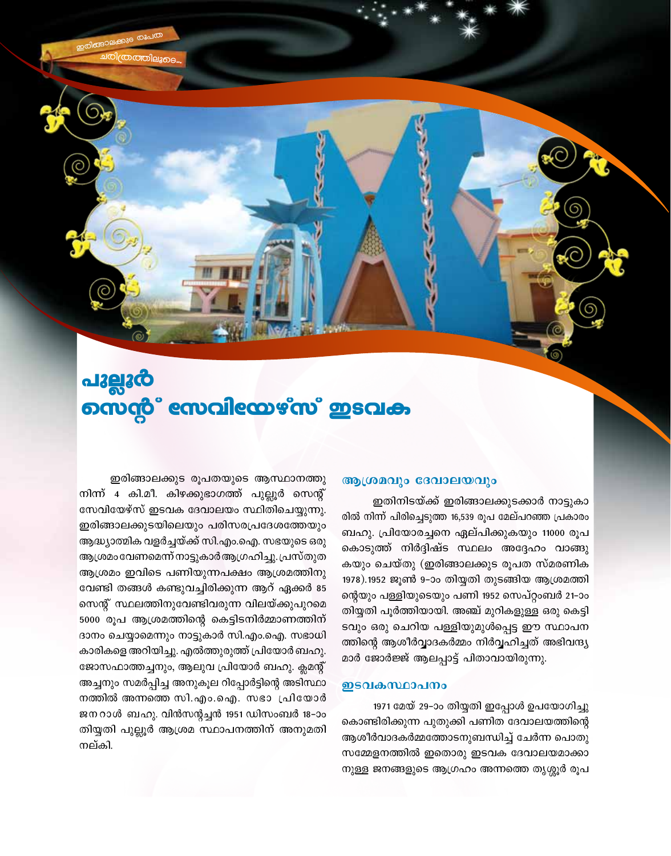# പുല്ലൂർ നെന്റ് സേവിയേഴ്സ് ഇടവക

### ആശ്രമവും ദേവാലയവും

ഇതിനിടയ്ക്ക് ഇരിങ്ങാലക്കുടക്കാർ നാട്ടുകാ രിൽ നിന്ന് പിരിച്ചെടുത്ത 16,539 രൂപ മേല്പറഞ്ഞ പ്രകാരം ബഹു. പ്രിയോരച്ചനെ ഏല്പിക്കുകയും 11000 രൂപ കൊടുത്ത് നിർദ്ദിഷ്ട സ്ഥലം അദ്ദേഹം വാങ്ങു കയും ചെയ്തു (ഇരിങ്ങാലക്കുട രൂപത സ്മരണിക 1978).1952 ജൂൺ 9–ാം തിയ്യതി തുടങ്ങിയ ആശ്രമത്തി ന്റെയും പള്ളിയുടെയും പണി 1952 സെപ്റ്റംബർ 21–ാം തിയ്യതി പൂർത്തിയായി. അഞ്ച് മുറികളുള്ള ഒരു കെട്ടി ടവും ഒരു ചെറിയ പള്ളിയുമുൾപ്പെട്ട ഈ സ്ഥാപന ത്തിന്റെ ആശീർവ്വാദകർമ്മം നിർവ്വഹിച്ചത് അഭിവന്ദ്യ മാർ ജോർജ്ജ് ആലപ്പാട്ട് പിതാവായിരുന്നു.

#### ഇടവകസ്ഥാപനം

1971 മേയ് 29–ാം തിയ്യതി ഇപ്പോൾ ഉപയോഗിച്ചു കൊണ്ടിരിക്കുന്ന പുതുക്കി പണിത ദേവാലയത്തിന്റെ ആശീർവാദകർമ്മത്തോടനുബന്ധിച്ച് ചേർന്ന പൊതു സമ്മേളനത്തിൽ ഇതൊരു ഇടവക ദേവാലയമാക്കാ നുള്ള ജനങ്ങളുടെ ആഗ്രഹം അന്നത്തെ തൃശ്ശൂർ രൂപ

ഇരിങ്ങാലക്കുട രൂപതയുടെ ആസ്ഥാനത്തു നിന്ന് 4 കി.മീ. കിഴക്കുഭാഗത്ത് പുല്ലൂർ സെന്റ് സേവിയേഴ്സ് ഇടവക ദേവാലയം സ്ഥിതിചെയ്യുന്നു. ഇരിങ്ങാലക്കുടയിലെയും പരിസരപ്രദേശത്തേയും ആദ്ധ്യാത്മിക വളർച്ചയ്ക്ക് സി.എം.ഐ. സഭയുടെ ഒരു ആശ്രമം വേണമെന്ന് നാട്ടുകാർആഗ്രഹിച്ചു. പ്രസ്തുത ആശ്രമം ഇവിടെ പണിയുന്നപക്ഷം ആശ്രമത്തിനു വേണ്ടി തങ്ങൾ കണ്ടുവച്ചിരിക്കുന്ന ആറ് ഏക്കർ 85 സെന്റ് സ്ഥലത്തിനുവേണ്ടിവരുന്ന വിലയ്ക്കുപുറമെ 5000 രൂപ ആശ്രമത്തിന്റെ കെട്ടിടനിർമ്മാണത്തിന് ദാനം ചെയ്യാമെന്നും നാട്ടുകാർ സി.എം.ഐ. സഭാധി കാരികളെ അറിയിച്ചു. എൽത്തുരുത്ത് പ്രിയോർ ബഹു. ജോസഫാത്തച്ചനും, ആലുവ പ്രിയോർ ബഹു. ക്ലമന്റ് അച്ചനും സമർപ്പിച്ച അനുകൂല റിപ്പോർട്ടിന്റെ അടിസ്ഥാ നത്തിൽ അന്നത്തെ സി.എം.ഐ. സഭാ പ്രിയോർ ജനറാൾ ബഹു. വിൻസന്റച്ചൻ 1951 ഡിസംബർ 18-ാം തിയ്യതി പുല്ലൂർ ആശ്രമ സ്ഥാപനത്തിന് അനുമതി നല്കി.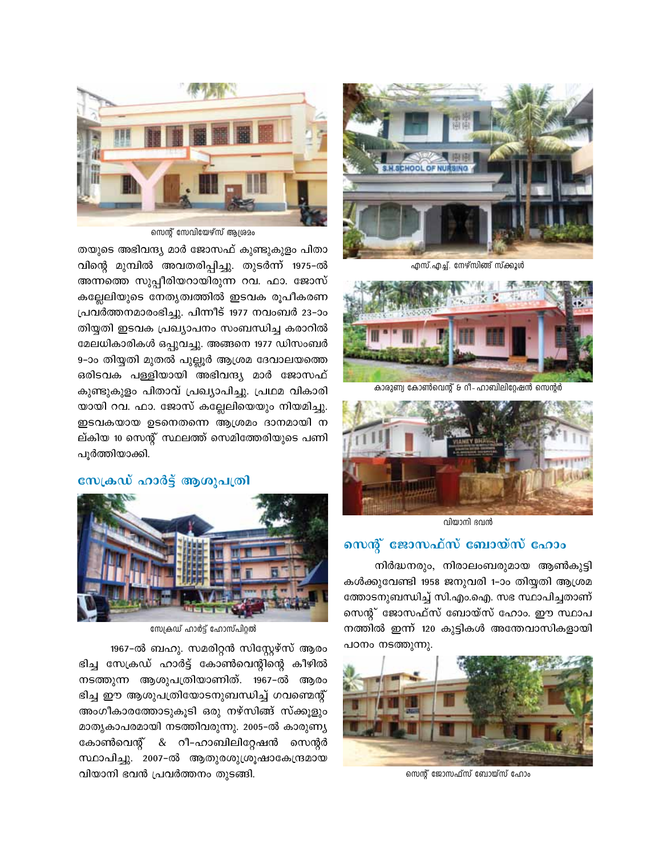

എസ്.എച്ച്. നേഴ്സിങ്ങ് സ്ക്കൂൾ



കാരുണ്വ കോൺവെന്റ് & റീ-ഹാബിലിറ്റേഷൻ സെന്റർ



വിയാനി ഭവൻ

# സെന്റ് ജോസഫ്സ് ബോയ്സ് ഹോം

നിർദ്ധനരും, നിരാലംബരുമായ ആൺകുട്ടി കൾക്കുവേണ്ടി 1958 ജനുവരി 1-ാം തിയ്യതി ആശ്രമ ത്തോടനുബന്ധിച്ച് സി.എം.ഐ. സഭ സ്ഥാപിച്ചതാണ് സെന്റ് ജോസഫ്സ് ബോയ്സ് ഹോം. ഈ സ്ഥാപ നത്തിൽ ഇന്ന് 120 കുട്ടികൾ അന്തേവാസികളായി പഠനം നടത്തുന്നു.



സെന്റ് ജോസഫ്സ് ബോയ്സ് ഹോം



സെന്റ് സേവിയേഴ്സ് ആശ്രമം

തയുടെ അഭിവന്ദ്യ മാർ ജോസഫ് കുണ്ടുകുളം പിതാ വിന്റെ മുമ്പിൽ അവതരിപ്പിച്ചു. തുടർന്ന് 1975-ൽ അന്നത്തെ സുപ്പീരിയറായിരുന്ന റവ. ഫാ. ജോസ് കല്ലേലിയുടെ നേതൃത്വത്തിൽ ഇടവക രുപീകരണ പ്രവർത്തനമാരംഭിച്ചു. പിന്നീട് 1977 നവംബർ 23–ാം തിയ്യതി ഇടവക പ്രഖ്യാപനം സംബന്ധിച്ച കരാറിൽ മേലധികാരികൾ ഒപ്പുവച്ചു. അങ്ങനെ 1977 ഡിസംബർ 9-ാം തിയ്യതി മുതൽ പുല്ലൂർ ആശ്രമ ദേവാലയത്തെ ഒരിടവക പള്ളിയായി അഭിവന്ദ്യ മാർ ജോസഫ് കുണ്ടുകുളം പിതാവ് പ്രഖ്യാപിച്ചു. പ്രഥമ വികാരി യായി റവ. ഫാ. ജോസ് കല്ലേലിയെയും നിയമിച്ചു. ഇടവകയായ ഉടനെതന്നെ ആശ്രമം ദാനമായി ന ല്കിയ 10 സെന്റ് സ്ഥലത്ത് സെമിത്തേരിയുടെ പണി പൂർത്തിയാക്കി.

### സേക്രഡ് ഹാർട്ട് ആശുപത്രി



സേക്രഡ് ഹാർട്ട് ഹോസ്പിറ്റൽ

1967-ൽ ബഹു. സമരിറ്റൻ സിസ്റ്റേഴ്സ് ആരം ഭിച്ച സേക്രഡ് ഹാർട്ട് കോൺവെന്റിന്റെ കീഴിൽ നടത്തുന്ന ആശുപത്രിയാണിത്. 1967-ൽ ആരം ഭിച്ച ഈ ആശുപത്രിയോടനുബന്ധിച്ച് ഗവണ്മെന്റ് അംഗീകാരത്തോടുകൂടി ഒരു നഴ്സിങ്ങ് സ്ക്കുളും മാതൃകാപരമായി നടത്തിവരുന്നു. 2005-ൽ കാരുണ്യ കോൺവെന്റ് & റീ-ഹാബിലിറ്റേഷൻ സെന്റർ സ്ഥാപിച്ചു. 2007-ൽ ആതുരശുശ്രൂഷാകേന്ദ്രമായ വിയാനി ഭവൻ പ്രവർത്തനം തുടങ്ങി.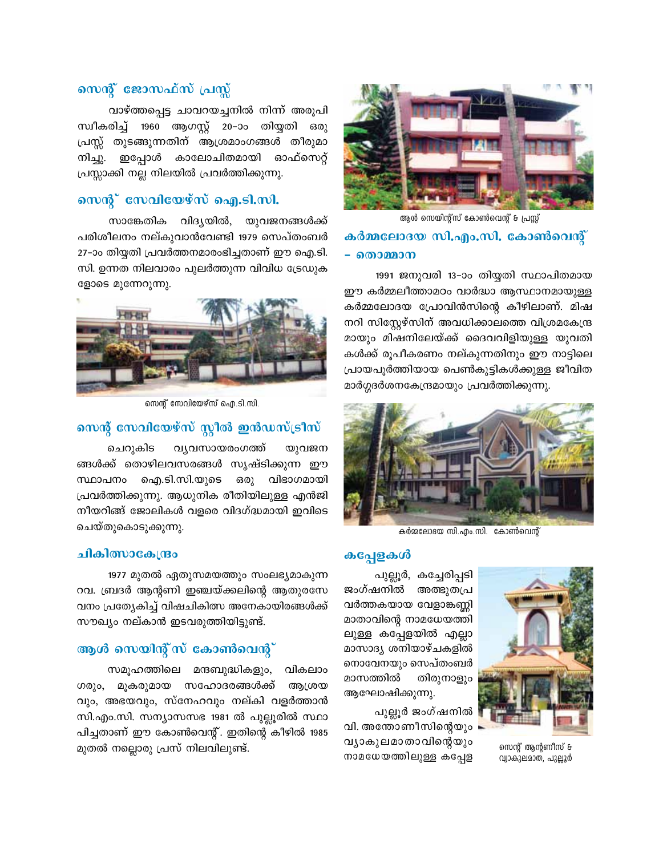

ആൾ സെയിന്റ്സ് കോൺവെന്റ് & പ്രസ്സ് കർമ്മലോദയ സി.എം.സി. കോൺവെന്റ് – തൊമ്മാന

1991 ജനുവരി 13-ാം തിയ്യതി സ്ഥാപിതമായ ഈ കർമ്മലീത്താമഠം വാർദ്ധാ ആസ്ഥാനമായുള്ള കർമ്മലോദയ പ്രോവിൻസിന്റെ കീഴിലാണ്. മിഷ നറി സിസ്റ്റേഴ്സിന് അവധിക്കാലത്തെ വിശ്രമകേന്ദ്ര മായും മിഷനിലേയ്ക്ക് ദൈവവിളിയുള്ള യുവതി കൾക്ക് രൂപീകരണം നല്കുന്നതിനും ഈ നാട്ടിലെ പ്രായപൂർത്തിയായ പെൺകുട്ടികൾക്കുള്ള ജീവിത മാർഗ്ഗദർശനകേന്ദ്രമായും പ്രവർത്തിക്കുന്നു.



കർമലോദയ സി.എം.സി. കോൺവെന്റ്

സെന്റ് ആന്റണീസ് &

വ്വാകുലമാത, പുല്ലൂർ

### കപ്പേളകൾ

പുല്ലൂർ, കച്ചേരിപ്പടി ജംഗ്ഷനിൽ അത്ഭുതപ്ര വർത്തകയായ വേളാങ്കണ്ണി മാതാവിന്റെ നാമധേയത്തി ലുള്ള കപ്പേളയിൽ എല്ലാ മാസാദ്യ ശനിയാഴ്ചകളിൽ നൊവേനയും സെപ്തംബർ മാസത്തിൽ തിരുനാളും ആഘോഷിക്കുന്നു.

പുല്ലൂർ ജംഗ്ഷനിൽ വി. അന്തോണീസിന്റെയും വ്യാകുലമാതാവിന്റെയും നാമധേയത്തിലുള്ള കപ്പേള

# സെന്റ് ജോസഫ്സ് പ്രസ്സ്

വാഴ്ത്തപ്പെട്ട ചാവറയച്ചനിൽ നിന്ന് അരൂപി സ്ഥീകരിച്ച് 1960 ആഗസ്റ്റ് 20–ാം തിയ്യതി ഒരു പ്രസ്സ് തുടങ്ങുന്നതിന് ആശ്രമാംഗങ്ങൾ തീരുമാ ഇപ്പോൾ കാലോചിതമായി ഓഫ്സെറ്റ് നിച്ചു. പ്രസ്സാക്കി നല്ല നിലയിൽ പ്രവർത്തിക്കുന്നു.

### സെന്റ് സേവിയേഴ്സ് ഐ.ടി.സി.

സാങ്കേതിക വിദൃയിൽ, യുവജനങ്ങൾക്ക് പരിശീലനം നല്കുവാൻവേണ്ടി 1979 സെപ്തംബർ 27-ാം തിയ്യതി പ്രവർത്തനമാരംഭിച്ചതാണ് ഈ ഐ.ടി. സി. ഉന്നത നിലവാരം പുലർത്തുന്ന വിവിധ ട്രേഡുക ളോടെ മുന്നേറുന്നു.



സെന്റ് സേവിയേഴ്സ് ഐ.ടി.സി.

# സെന്റ് സേവിയേഴ്സ് സ്റ്റീൽ ഇൻഡസ്ട്രീസ്

വ്യവസായരംഗത്ത് ചെറുകിട യുവജന ങ്ങൾക്ക് തൊഴിലവസരങ്ങൾ സൃഷ്ടിക്കുന്ന ഈ സ്ഥാപനം ഐ.ടി.സി.യുടെ ഒരു വിഭാഗമായി പ്രവർത്തിക്കുന്നു. ആധുനിക രീതിയിലുള്ള എൻജി നീയറിങ്ങ് ജോലികൾ വളരെ വിദഗ്ദ്ധമായി ഇവിടെ ചെയ്തുകൊടുക്കുന്നു.

### ചികിത്സാകേന്ദ്രം

1977 മുതൽ ഏതുസമയത്തും സംലഭ്യമാകുന്ന റവ. ബ്രദർ ആന്റണി ഇഞ്ചയ്ക്കലിന്റെ ആതുരസേ വനം പ്രത്യേകിച്ച് വിഷചികിത്സ അനേകായിരങ്ങൾക്ക് സൗഖ്യം നല്കാൻ ഇടവരുത്തിയിട്ടുണ്ട്.

# ആൾ സെയിന്റ് സ് കോൺവെന്റ്

സമൂഹത്തിലെ മന്ദബുദ്ധികളും, വികലാം ഗരും, മൂകരുമായ സഹോദരങ്ങൾക്ക് ആശ്രയ വും, അഭയവും, സ്നേഹവും നല്കി വളർത്താൻ സി.എം.സി. സന്യാസസഭ 1981 ൽ പുല്ലൂരിൽ സ്ഥാ പിച്ചതാണ് ഈ കോൺവെന്റ്. ഇതിന്റെ കീഴിൽ 1985 മുതൽ നല്ലൊരു പ്രസ് നിലവിലുണ്ട്.